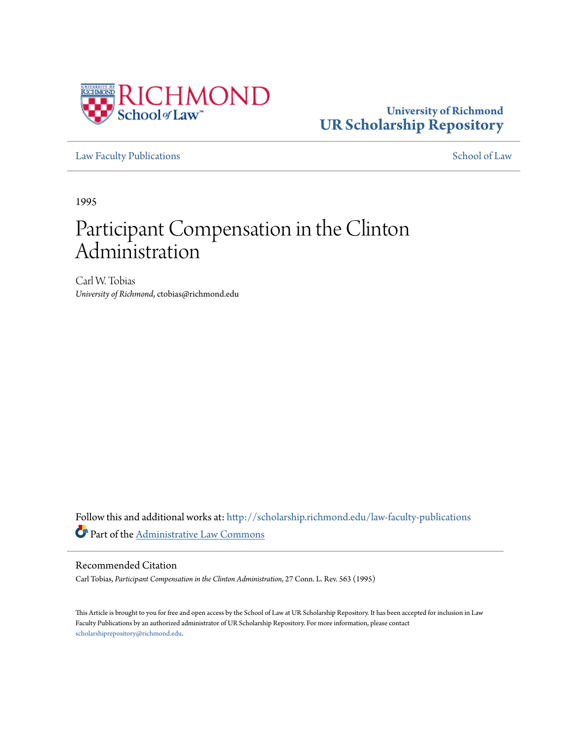

## **University of Richmond [UR Scholarship Repository](http://scholarship.richmond.edu?utm_source=scholarship.richmond.edu%2Flaw-faculty-publications%2F838&utm_medium=PDF&utm_campaign=PDFCoverPages)**

[Law Faculty Publications](http://scholarship.richmond.edu/law-faculty-publications?utm_source=scholarship.richmond.edu%2Flaw-faculty-publications%2F838&utm_medium=PDF&utm_campaign=PDFCoverPages) [School of Law](http://scholarship.richmond.edu/law?utm_source=scholarship.richmond.edu%2Flaw-faculty-publications%2F838&utm_medium=PDF&utm_campaign=PDFCoverPages)

1995

# Participant Compensation in the Clinton Administration

Carl W. Tobias *University of Richmond*, ctobias@richmond.edu

Follow this and additional works at: [http://scholarship.richmond.edu/law-faculty-publications](http://scholarship.richmond.edu/law-faculty-publications?utm_source=scholarship.richmond.edu%2Flaw-faculty-publications%2F838&utm_medium=PDF&utm_campaign=PDFCoverPages) Part of the [Administrative Law Commons](http://network.bepress.com/hgg/discipline/579?utm_source=scholarship.richmond.edu%2Flaw-faculty-publications%2F838&utm_medium=PDF&utm_campaign=PDFCoverPages)

### Recommended Citation

Carl Tobias, *Participant Compensation in the Clinton Administration,* 27 Conn. L. Rev. 563 (1995)

This Article is brought to you for free and open access by the School of Law at UR Scholarship Repository. It has been accepted for inclusion in Law Faculty Publications by an authorized administrator of UR Scholarship Repository. For more information, please contact [scholarshiprepository@richmond.edu.](mailto:scholarshiprepository@richmond.edu)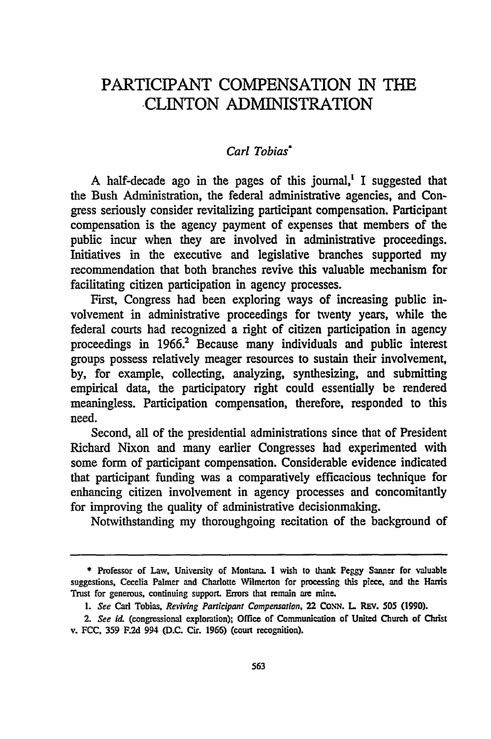## PARTICIPANT COMPENSATION IN THE .CLINTON ADMINISTRATION

#### *Carl Tobias·*

A half-decade ago in the pages of this journal, $\mathbf{I}$  suggested that the Bush Administration, the federal administrative agencies, and Congress seriously consider revitalizing participant compensation. Participant compensation is the agency payment of expenses that members of the public incur when they are involved in administrative proceedings. Initiatives in the executive and legislative branches supported my recommendation that both branches revive this valuable mechanism for facilitating citizen participation in agency processes.

First, Congress had been exploring ways of increasing public involvement in administrative proceedings for twenty years, while the federal courts had recognized a right of citizen participation in agency proceedings in 1966.<sup>2</sup> Because many individuals and public interest groups possess relatively meager resources to sustain their involvement, by, for example, collecting, analyzing, synthesizing, and submitting empirical data, the participatory right could essentially be rendered meaningless. Participation compensation, therefore, responded to this need.

Second, all of the presidential administrations since that of President Richard Nixon and many earlier Congresses had experimented with some form of participant compensation. Considerable evidence indicated that participant funding was a comparatively efficacious technique for enhancing citizen involvement in agency processes and concomitantly for improving the quality of administrative decisionmaking.

Notwithstanding my thoroughgoing recitation of the background of

<sup>\*</sup> Professor of Law, University of Montana. I wish to thank Peggy Sanner for valuable suggestions, Cecelia Palmer and Charlotte Wilmerton for processing this piece, and the *Harris* Trust for generous, continuing support. Errors that remain are mine.

<sup>1.</sup> *See* Carl Tobias, *Reviving Participant Compensation,* 22 CONN. L. REY. *SOS* (1990).

<sup>2.</sup> See id. (congressional exploration); Office of Communication of United Church of Christ v. FCC, 359 F.2d 994 (D.C. Cir. 1966) (court recognition).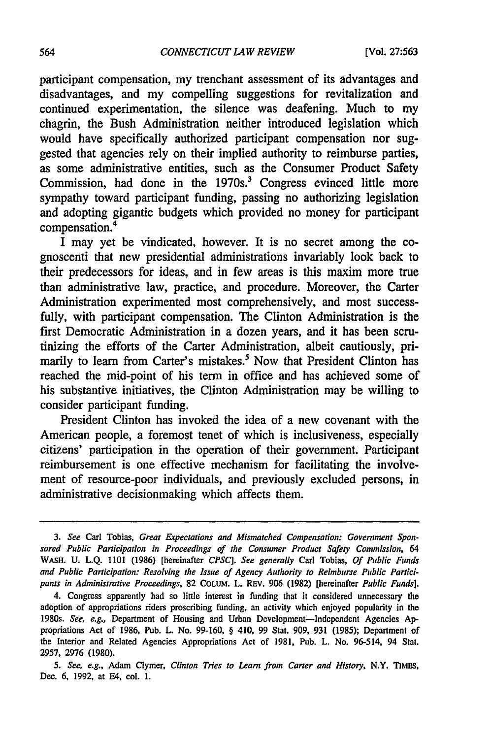participant compensation, my trenchant assessment of its advantages and disadvantages, and my compelling suggestions for revitalization and continued experimentation, the silence was deafening. Much to my chagrin, the Bush Administration neither introduced legislation which would have specifically authorized participant compensation nor suggested that agencies rely on their implied authority to reimburse parties, as some administrative entities, such as the Consumer Product Safety Commission, had done in the  $1970s<sup>3</sup>$  Congress evinced little more sympathy toward participant funding, passing no authorizing legislation and adopting gigantic budgets which provided no money for participant compensation.<sup>4</sup>

I may yet be vindicated, however. It is no secret among the cognoscenti that new presidential administrations invariably look back to their predecessors for ideas, and in few areas is this maxim more true than administrative law, practice, and procedure. Moreover, the Carter Administration experimented most comprehensively, and most successfully, with participant compensation. The Clinton Administration is the first Democratic Administration in a dozen years, and it has been scrutinizing the efforts of the Carter Administration, albeit cautiously, primarily to learn from Carter's mistakes.<sup>5</sup> Now that President Clinton has reached the mid-point of his term in office and has achieved some of his substantive initiatives, the Clinton Administration may be willing to consider participant funding.

President Clinton has invoked the idea of a new covenant with the American people, a foremost tenet of which is inclusiveness, especially citizens' participation in the operation of their government. Participant reimbursement is one effective mechanism for facilitating the involvement of resource-poor individuals, and previously excluded persons, in administrative decisionmaking which affects them.

<sup>3.</sup> *See* Carl Tobias, *Great Expectations and Mismatched Compensation: Government Spon· sored Public Participation in Proceedings of the Consumer Product Safety Commission,* 64 WASH. U. L.Q. 1101 (1986) [hereinafter *CPSC]. See generally* Carl Tobias, *Of Public Funds and Public Participation: Resolving the Issue of Agency Authority to Reimburse Public Partici· pants in Administrative Proceedings,* 82 COLUM. L. REv. 906 (1982) [hereinafter *Public Funds].* 

<sup>4.</sup> Congress apparently had so little interest in funding that it considered unnecessary the adoption of appropriations riders proscribing funding, an activity which enjoyed popularity in the 1980s. *See, e.g.,* Department of Housing and Urban Development-Independent Agencies Appropriations Act of 1986, Pub. L. No. 99-160, § 410, 99 Stat. 909, 931 (1985); Department of the Interior and Related Agencies Appropriations Act of 1981, Pub. L. No. 96-514, 94 Stat. 2957, 2976 (1980).

<sup>5.</sup> *See, e.g.,* Adam Clymer, *Clinton Tries to Learn from Carter and History,* N.Y. nMES, Dec. 6, 1992, at E4, col. 1.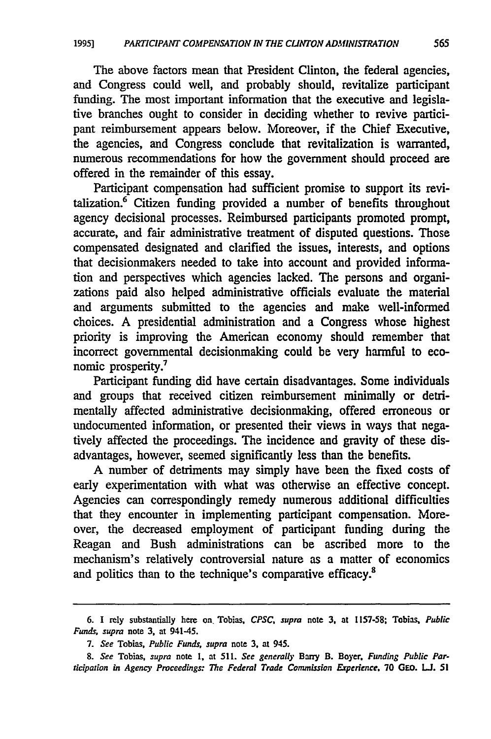The above factors mean that President Clinton, the federal agencies, and Congress could well, and probably should, revitalize participant funding. The most important information that the executive and legislative branches ought to consider in deciding whether to revive participant reimbursement appears below. Moreover, if the Chief Executive, the agencies, and Congress conclude that revitalization is warranted, numerous recommendations for how the government should proceed are offered in the remainder of this essay.

Participant compensation had sufficient promise to support its revitalization. $6$  Citizen funding provided a number of benefits throughout agency decisional processes. Reimbursed participants promoted prompt, accurate, and fair administrative treatment of disputed questions. Those compensated designated and clarified the issues, interests, and options that decisionmakers needed to take into account and provided information and perspectives which agencies lacked. The persons and organizations paid also helped administrative officials evaluate the material and arguments submitted to the agencies and make well-informed choices. A presidential administration and a Congress whose highest priority is improving the American economy should remember that incorrect governmental decisionmaking could be very harmful to economic prosperity.<sup>7</sup>

Participant funding did have certain disadvantages. Some individuals and groups that received citizen reimbursement minimally or detrimentally affected administrative decisionmaking, offered erroneous or undocumented information, or presented their views in ways that negatively affected the proceedings. The incidence and gravity of these disadvantages, however, seemed significantly less than the benefits.

A number of detriments may simply have been the fixed costs of early experimentation with what was otherwise an effective concept. Agencies can correspondingly remedy numerous additional difficulties that they encounter in implementing participant compensation. Moreover, the decreased employment of participant funding during the Reagan and Bush administrations can be ascribed more to the mechanism's relatively controversial nature as a matter of economics and politics than to the technique's comparative efficacy.<sup>8</sup>

<sup>6.</sup> I rely substantially here on, Tobias, *CPSC, supra* note 3, at 1157-58; Tobias. *Public Funds, supra* note 3, at 941-45.

<sup>7.</sup> *See* Tobias, *Public Funds, supra* note 3, at 945.

<sup>8.</sup> *See* Tobias, *supra* note 1, at 511. *See generally* Bany B. Boyer, *Funding Public Participation* in *Agency Proceedings: The Federal Trade Commission Experience,* 70 GEO. LI. 51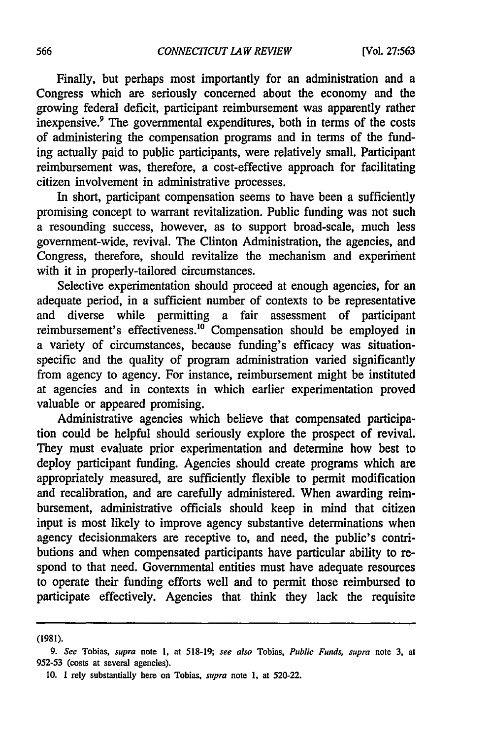Finally, but perhaps most importantly for an administration and a Congress which are seriously concerned about the economy and the growing federal deficit, participant reimbursement was apparently rather inexpensive.<sup>9</sup> The governmental expenditures, both in terms of the costs of administering the compensation programs and in terms of the funding actually paid to public participants, were relatively small. Participant reimbursement was, therefore, a cost-effective approach for facilitating citizen involvement in administrative processes.

In short, participant compensation seems to have been a sufficiently promising concept to warrant revitalization. Public funding was not such a resounding success, however, as to support broad-scale, much less government-wide, revival. The Clinton Administration, the agencies, and Congress, therefore, should revitalize the mechanism and experiment with it in properly-tailored circumstances.

Selective experimentation should proceed at enough agencies, for an adequate period, in a sufficient number of contexts to be representative and diverse while permitting a fair assessment of participant reimbursement's effectiveness.<sup>10</sup> Compensation should be employed in a variety of circumstances, because funding's efficacy was situationspecific and the quality of program administration varied significantly from agency to agency. For instance, reimbursement might be instituted at agencies and in contexts in which earlier experimentation proved valuable or appeared promising.

Administrative agencies which believe that compensated participation could be helpful should seriously explore the prospect of revival. They must evaluate prior experimentation and determine how best to deploy participant funding. Agencies should create programs which are appropriately measured, are sufficiently flexible to permit modification and recalibration, and are carefully administered. When awarding reimbursement, administrative officials should keep in mind that citizen input is most likely to improve agency substantive determinations when agency decisionmakers are receptive to, and need, the public's contributions and when compensated participants have particular ability to respond to that need. Governmental entities must have adequate resources to operate their funding efforts well and to permit those reimbursed to participate effectively. Agencies that think they lack the requisite

(1981).

<sup>9.</sup> *See* Tobias, *supra* note I, at 518-19; *see also* Tobias, *Public Funds, supra* note 3, at 952-53 (costs at several agencies).

<sup>10.</sup> I rely substantially here on Tobias, *supra* note I, at 520-22.